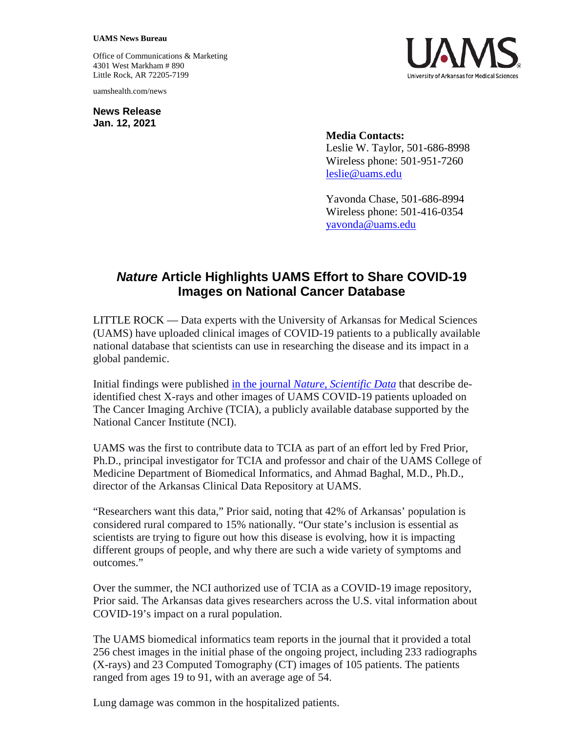## **UAMS News Bureau**

Office of Communications & Marketing 4301 West Markham # 890 Little Rock, AR 72205-7199

uamshealth.com/news

**News Release Jan. 12, 2021**



**Media Contacts:** Leslie W. Taylor, 501-686-8998 Wireless phone: 501-951-7260 [leslie@uams.edu](mailto:leslie@uams.edu)

Yavonda Chase, 501-686-8994 Wireless phone: 501-416-0354 yavonda@uams.edu

## *Nature* **Article Highlights UAMS Effort to Share COVID-19 Images on National Cancer Database**

LITTLE ROCK — Data experts with the University of Arkansas for Medical Sciences (UAMS) have uploaded clinical images of COVID-19 patients to a publically available national database that scientists can use in researching the disease and its impact in a global pandemic.

Initial findings were published in the journal *[Nature, Scientific Data](https://www.nature.com/articles/s41597-020-00741-6.epdf?sharing_token=vkfJgM_qd3XhZ52YGeMJ59RgN0jAjWel9jnR3ZoTv0NMlHnfbiWOxB7YJ1irfmqyc39omakF4oqJOW8J5FBlW-uDWTFjGw1s6cTkFitkbqvaXaQopsVOkOiUd9JqArnStw1S0raDxeO1if_RTeMt61xcP07qyklonY6EkEkt67s%3D)* that describe deidentified chest X-rays and other images of UAMS COVID-19 patients uploaded on The Cancer Imaging Archive (TCIA), a publicly available database supported by the National Cancer Institute (NCI).

UAMS was the first to contribute data to TCIA as part of an effort led by Fred Prior, Ph.D., principal investigator for TCIA and professor and chair of the UAMS College of Medicine Department of Biomedical Informatics, and Ahmad Baghal, M.D., Ph.D., director of the Arkansas Clinical Data Repository at UAMS.

"Researchers want this data," Prior said, noting that 42% of Arkansas' population is considered rural compared to 15% nationally. "Our state's inclusion is essential as scientists are trying to figure out how this disease is evolving, how it is impacting different groups of people, and why there are such a wide variety of symptoms and outcomes."

Over the summer, the NCI authorized use of TCIA as a COVID-19 image repository, Prior said. The Arkansas data gives researchers across the U.S. vital information about COVID-19's impact on a rural population.

The UAMS biomedical informatics team reports in the journal that it provided a total 256 chest images in the initial phase of the ongoing project, including 233 radiographs (X-rays) and 23 Computed Tomography (CT) images of 105 patients. The patients ranged from ages 19 to 91, with an average age of 54.

Lung damage was common in the hospitalized patients.